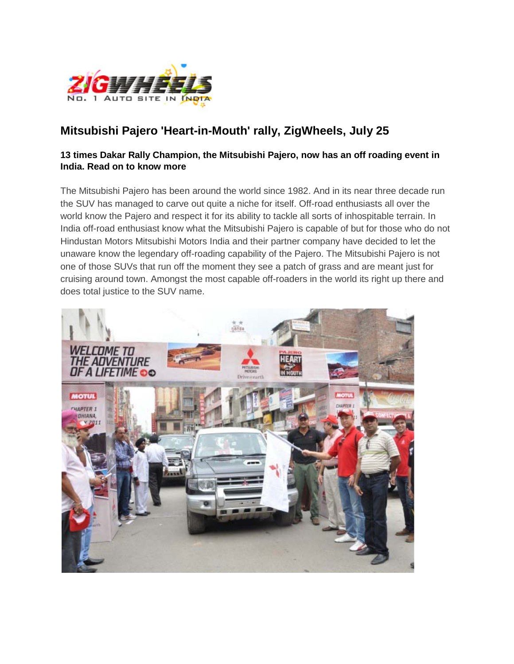

## **Mitsubishi Pajero 'Heart-in-Mouth' rally, ZigWheels, July 25**

## **13 times Dakar Rally Champion, the Mitsubishi Pajero, now has an off roading event in India. Read on to know more**

The Mitsubishi Pajero has been around the world since 1982. And in its near three decade run the SUV has managed to carve out quite a niche for itself. Off-road enthusiasts all over the world know the Pajero and respect it for its ability to tackle all sorts of inhospitable terrain. In India off-road enthusiast know what the Mitsubishi Pajero is capable of but for those who do not Hindustan Motors Mitsubishi Motors India and their partner company have decided to let the unaware know the legendary off-roading capability of the Pajero. The Mitsubishi Pajero is not one of those SUVs that run off the moment they see a patch of grass and are meant just for cruising around town. Amongst the most capable off-roaders in the world its right up there and does total justice to the SUV name.

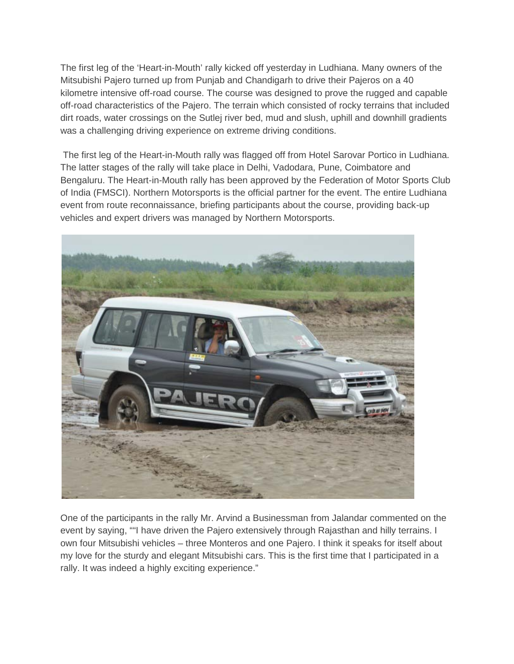The first leg of the 'Heart-in-Mouth' rally kicked off yesterday in Ludhiana. Many owners of the Mitsubishi Pajero turned up from Punjab and Chandigarh to drive their Pajeros on a 40 kilometre intensive off-road course. The course was designed to prove the rugged and capable off-road characteristics of the Pajero. The terrain which consisted of rocky terrains that included dirt roads, water crossings on the Sutlej river bed, mud and slush, uphill and downhill gradients was a challenging driving experience on extreme driving conditions.

The first leg of the Heart-in-Mouth rally was flagged off from Hotel Sarovar Portico in Ludhiana. The latter stages of the rally will take place in Delhi, Vadodara, Pune, Coimbatore and Bengaluru. The Heart-in-Mouth rally has been approved by the Federation of Motor Sports Club of India (FMSCI). Northern Motorsports is the official partner for the event. The entire Ludhiana event from route reconnaissance, briefing participants about the course, providing back-up vehicles and expert drivers was managed by Northern Motorsports.



One of the participants in the rally Mr. Arvind a Businessman from Jalandar commented on the event by saying, ""I have driven the Pajero extensively through Rajasthan and hilly terrains. I own four Mitsubishi vehicles – three Monteros and one Pajero. I think it speaks for itself about my love for the sturdy and elegant Mitsubishi cars. This is the first time that I participated in a rally. It was indeed a highly exciting experience."